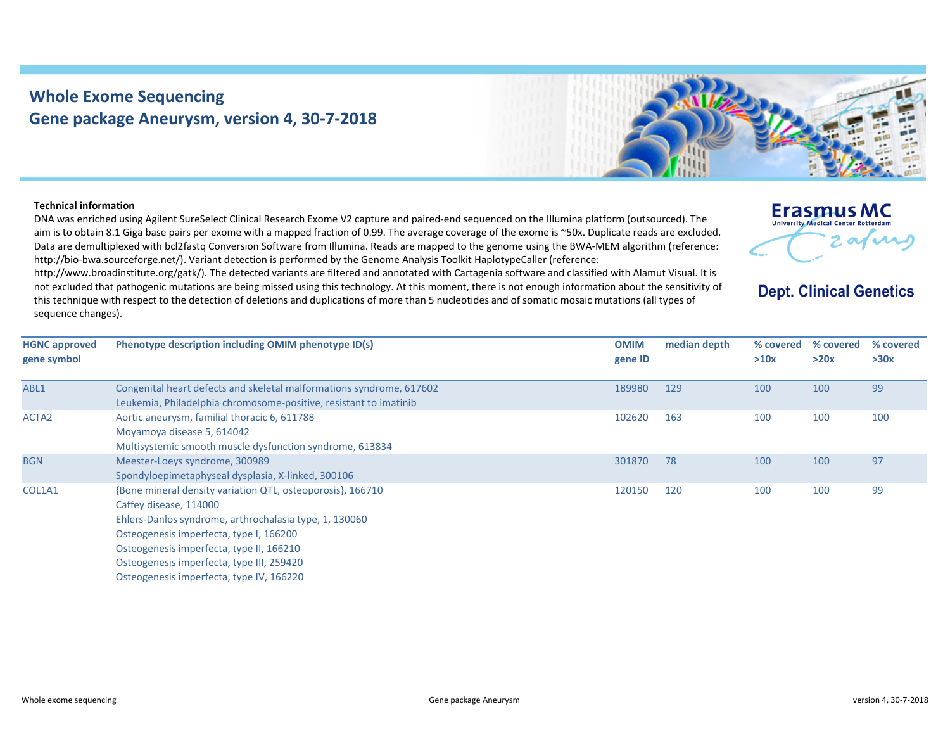## **Whole Exome Sequencing Gene package Aneurysm, version 4, 30‐7‐2018**



## **Technical information**

DNA was enriched using Agilent SureSelect Clinical Research Exome V2 capture and paired‐end sequenced on the Illumina platform (outsourced). The aim is to obtain 8.1 Giga base pairs per exome with <sup>a</sup> mapped fraction of 0.99. The average coverage of the exome is ~50x. Duplicate reads are excluded. Data are demultiplexed with bcl2fastq Conversion Software from Illumina. Reads are mapped to the genome using the BWA‐MEM algorithm (reference: http://bio-bwa.sourceforge.net/). Variant detection is performed by the Genome Analysis Toolkit HaplotypeCaller (reference:

http://www.broadinstitute.org/gatk/). The detected variants are filtered and annotated with Cartagenia software and classified with Alamut Visual. It is not excluded that pathogenic mutations are being missed using this technology. At this moment, there is not enough information about the sensitivity of this technique with respect to the detection of deletions and duplications of more than 5 nucleotides and of somatic mosaic mutations (all types of sequence changes).



## **Dept. Clinical Genetics**

| <b>HGNC approved</b><br>gene symbol | Phenotype description including OMIM phenotype ID(s)                                                                                                                                                                                                                                                                           | <b>OMIM</b><br>gene ID | median depth | % covered<br>>10x | % covered<br>>20x | % covered<br>>30x |
|-------------------------------------|--------------------------------------------------------------------------------------------------------------------------------------------------------------------------------------------------------------------------------------------------------------------------------------------------------------------------------|------------------------|--------------|-------------------|-------------------|-------------------|
| ABL1                                | Congenital heart defects and skeletal malformations syndrome, 617602<br>Leukemia, Philadelphia chromosome-positive, resistant to imatinib                                                                                                                                                                                      | 189980                 | 129          | 100               | 100               | 99                |
| ACTA <sub>2</sub>                   | Aortic aneurysm, familial thoracic 6, 611788<br>Moyamoya disease 5, 614042<br>Multisystemic smooth muscle dysfunction syndrome, 613834                                                                                                                                                                                         | 102620                 | 163          | 100               | 100               | 100               |
| <b>BGN</b>                          | Meester-Loeys syndrome, 300989<br>Spondyloepimetaphyseal dysplasia, X-linked, 300106                                                                                                                                                                                                                                           | 301870                 | 78           | 100               | 100               | 97                |
| COL1A1                              | {Bone mineral density variation QTL, osteoporosis}, 166710<br>Caffey disease, 114000<br>Ehlers-Danlos syndrome, arthrochalasia type, 1, 130060<br>Osteogenesis imperfecta, type I, 166200<br>Osteogenesis imperfecta, type II, 166210<br>Osteogenesis imperfecta, type III, 259420<br>Osteogenesis imperfecta, type IV, 166220 | 120150                 | 120          | 100               | 100               | 99                |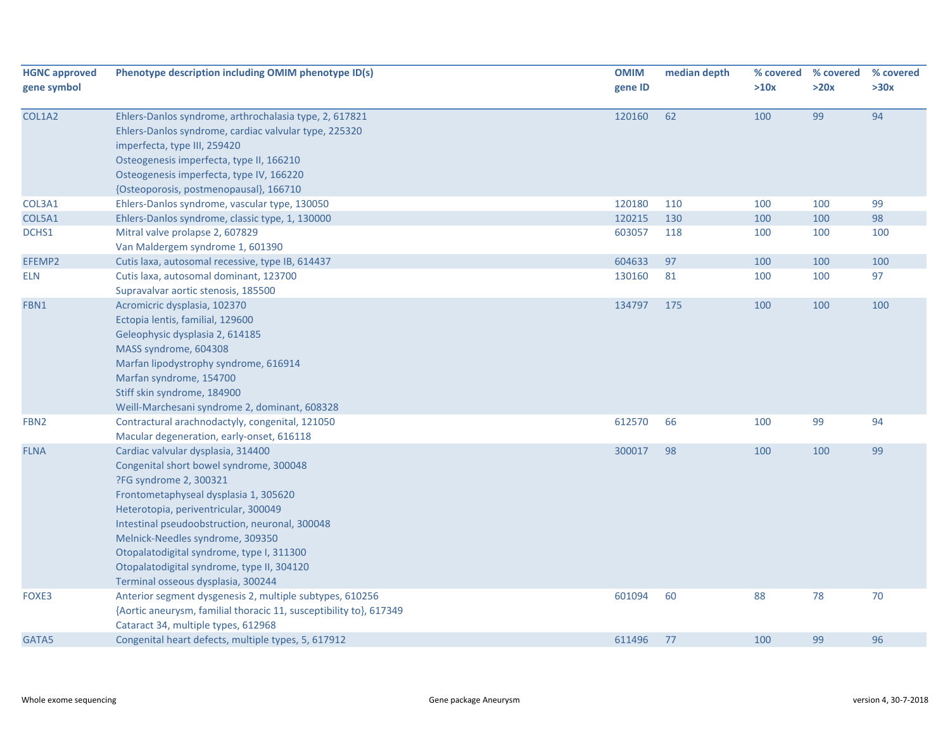| <b>HGNC approved</b><br>gene symbol | Phenotype description including OMIM phenotype ID(s)               | <b>OMIM</b><br>gene ID | median depth | % covered<br>>10x | % covered<br>>20x | % covered<br>>30x |
|-------------------------------------|--------------------------------------------------------------------|------------------------|--------------|-------------------|-------------------|-------------------|
|                                     |                                                                    |                        |              |                   |                   |                   |
| COL1A2                              | Ehlers-Danlos syndrome, arthrochalasia type, 2, 617821             | 120160                 | 62           | 100               | 99                | 94                |
|                                     | Ehlers-Danlos syndrome, cardiac valvular type, 225320              |                        |              |                   |                   |                   |
|                                     | imperfecta, type III, 259420                                       |                        |              |                   |                   |                   |
|                                     | Osteogenesis imperfecta, type II, 166210                           |                        |              |                   |                   |                   |
|                                     | Osteogenesis imperfecta, type IV, 166220                           |                        |              |                   |                   |                   |
|                                     | {Osteoporosis, postmenopausal}, 166710                             |                        |              |                   |                   |                   |
| COL3A1                              | Ehlers-Danlos syndrome, vascular type, 130050                      | 120180                 | 110          | 100               | 100               | 99                |
| COL5A1                              | Ehlers-Danlos syndrome, classic type, 1, 130000                    | 120215                 | 130          | 100               | 100               | 98                |
| DCHS1                               | Mitral valve prolapse 2, 607829                                    | 603057                 | 118          | 100               | 100               | 100               |
|                                     | Van Maldergem syndrome 1, 601390                                   |                        |              |                   |                   |                   |
| EFEMP2                              | Cutis laxa, autosomal recessive, type IB, 614437                   | 604633                 | 97           | 100               | 100               | 100               |
| <b>ELN</b>                          | Cutis laxa, autosomal dominant, 123700                             | 130160                 | 81           | 100               | 100               | 97                |
|                                     | Supravalvar aortic stenosis, 185500                                |                        |              |                   |                   |                   |
| FBN1                                | Acromicric dysplasia, 102370                                       | 134797                 | 175          | 100               | 100               | 100               |
|                                     | Ectopia lentis, familial, 129600                                   |                        |              |                   |                   |                   |
|                                     | Geleophysic dysplasia 2, 614185                                    |                        |              |                   |                   |                   |
|                                     | MASS syndrome, 604308                                              |                        |              |                   |                   |                   |
|                                     | Marfan lipodystrophy syndrome, 616914                              |                        |              |                   |                   |                   |
|                                     | Marfan syndrome, 154700                                            |                        |              |                   |                   |                   |
|                                     | Stiff skin syndrome, 184900                                        |                        |              |                   |                   |                   |
|                                     | Weill-Marchesani syndrome 2, dominant, 608328                      |                        |              |                   |                   |                   |
| FBN <sub>2</sub>                    | Contractural arachnodactyly, congenital, 121050                    | 612570                 | 66           | 100               | 99                | 94                |
|                                     | Macular degeneration, early-onset, 616118                          |                        |              |                   |                   |                   |
| <b>FLNA</b>                         | Cardiac valvular dysplasia, 314400                                 | 300017                 | 98           | 100               | 100               | 99                |
|                                     | Congenital short bowel syndrome, 300048                            |                        |              |                   |                   |                   |
|                                     | ?FG syndrome 2, 300321                                             |                        |              |                   |                   |                   |
|                                     | Frontometaphyseal dysplasia 1, 305620                              |                        |              |                   |                   |                   |
|                                     | Heterotopia, periventricular, 300049                               |                        |              |                   |                   |                   |
|                                     | Intestinal pseudoobstruction, neuronal, 300048                     |                        |              |                   |                   |                   |
|                                     | Melnick-Needles syndrome, 309350                                   |                        |              |                   |                   |                   |
|                                     | Otopalatodigital syndrome, type I, 311300                          |                        |              |                   |                   |                   |
|                                     | Otopalatodigital syndrome, type II, 304120                         |                        |              |                   |                   |                   |
|                                     | Terminal osseous dysplasia, 300244                                 |                        |              |                   |                   |                   |
| FOXE3                               | Anterior segment dysgenesis 2, multiple subtypes, 610256           | 601094                 | 60           | 88                | 78                | 70                |
|                                     | {Aortic aneurysm, familial thoracic 11, susceptibility to}, 617349 |                        |              |                   |                   |                   |
|                                     | Cataract 34, multiple types, 612968                                |                        |              |                   |                   |                   |
| GATA5                               | Congenital heart defects, multiple types, 5, 617912                | 611496                 | 77           | 100               | 99                | 96                |